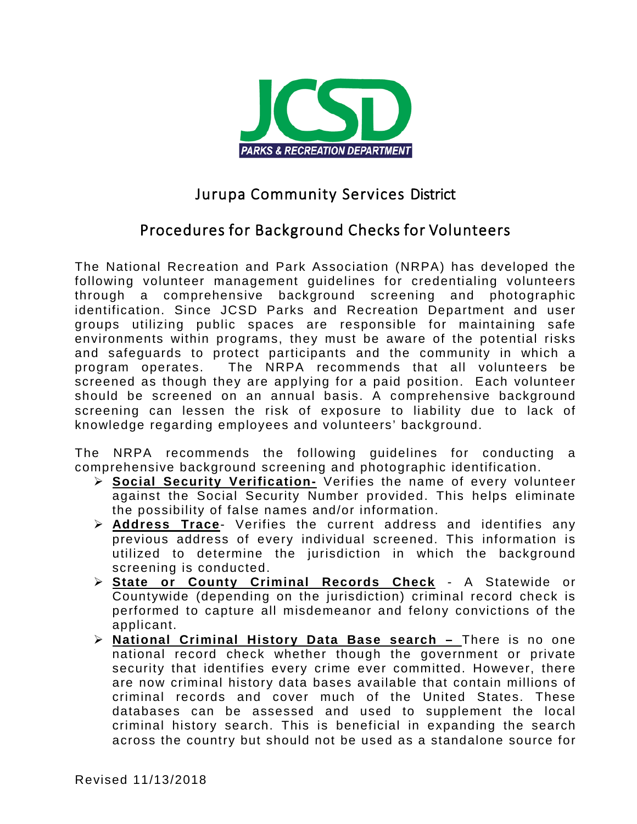

# Jurupa Community Services District

## Procedures for Background Checks for Volunteers

The National Recreation and Park Association (NRPA) has developed the following volunteer management guidelines for credentialing volunteers through a comprehensive background screening and photographic identification. Since JCSD Parks and Recreation Department and user groups utilizing public spaces are responsible for maintaining safe environments within programs, they must be aware of the potential risks and safeguards to protect participants and the community in which a program operates. The NRPA recommends that all volunteers be screened as though they are applying for a paid position. Each volunteer should be screened on an annual basis. A comprehensive background screening can lessen the risk of exposure to liability due to lack of knowledge regarding employees and volunteers' background.

The NRPA recommends the following guidelines for conducting a comprehensive background screening and photographic identification.

- **Social Security Verification-** Verifies the name of every volunteer against the Social Security Number provided. This helps eliminate the possibility of false names and/or information.
- **Address Trace** Verifies the current address and identifies any previous address of every individual screened. This information is utilized to determine the jurisdiction in which the background screening is conducted.
- **State or County Criminal Records Check** A Statewide or Countywide (depending on the jurisdiction) criminal record check is performed to capture all misdemeanor and felony convictions of the applicant.
- **National Criminal History Data Base search –** There is no one national record check whether though the government or private security that identifies every crime ever committed. However, there are now criminal history data bases available that contain millions of criminal records and cover much of the United States. These databases can be assessed and used to supplement the local criminal history search. This is beneficial in expanding the search across the country but should not be used as a standalone source for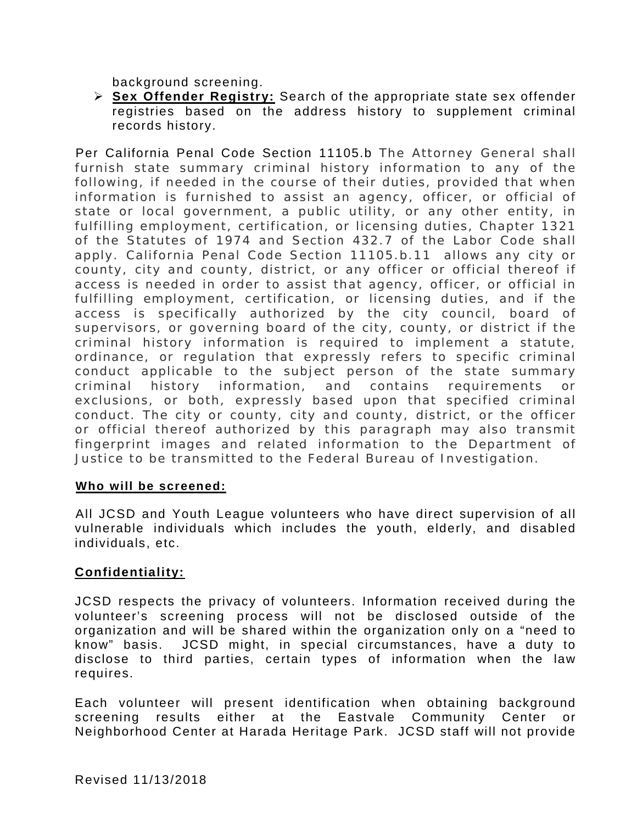background screening.

 **Sex Offender Registry:** Search of the appropriate state sex offender registries based on the address history to supplement criminal records history.

Per California Penal Code Section 11105.b The Attorney General shall furnish state summary criminal history information to any of the following, if needed in the course of their duties, provided that when information is furnished to assist an agency, officer, or official of state or local government, a public utility, or any other entity, in fulfilling employment, certification, or licensing duties, Chapter 1321 of the Statutes of 1974 and Section 432.7 of the Labor Code shall apply. California Penal Code Section 11105.b.11 allows any city or county, city and county, district, or any officer or official thereof if access is needed in order to assist that agency, officer, or official in fulfilling employment, certification, or licensing duties, and if the access is specifically authorized by the city council, board of supervisors, or governing board of the city, county, or district if the criminal history information is required to implement a statute, ordinance, or regulation that expressly refers to specific criminal conduct applicable to the subject person of the state summary criminal history information, and contains requirements or exclusions, or both, expressly based upon that specified criminal conduct. The city or county, city and county, district, or the officer or official thereof authorized by this paragraph may also transmit fingerprint images and related information to the Department of Justice to be transmitted to the Federal Bureau of Investigation.

#### **Who will be screened:**

All JCSD and Youth League volunteers who have direct supervision of all vulnerable individuals which includes the youth, elderly, and disabled individuals, etc.

#### **Confidentiality:**

JCSD respects the privacy of volunteers. Information received during the volunteer's screening process will not be disclosed outside of the organization and will be shared within the organization only on a "need to know" basis. JCSD might, in special circumstances, have a duty to disclose to third parties, certain types of information when the law requires.

Each volunteer will present identification when obtaining background screening results either at the Eastvale Community Center or Neighborhood Center at Harada Heritage Park. JCSD staff will not provide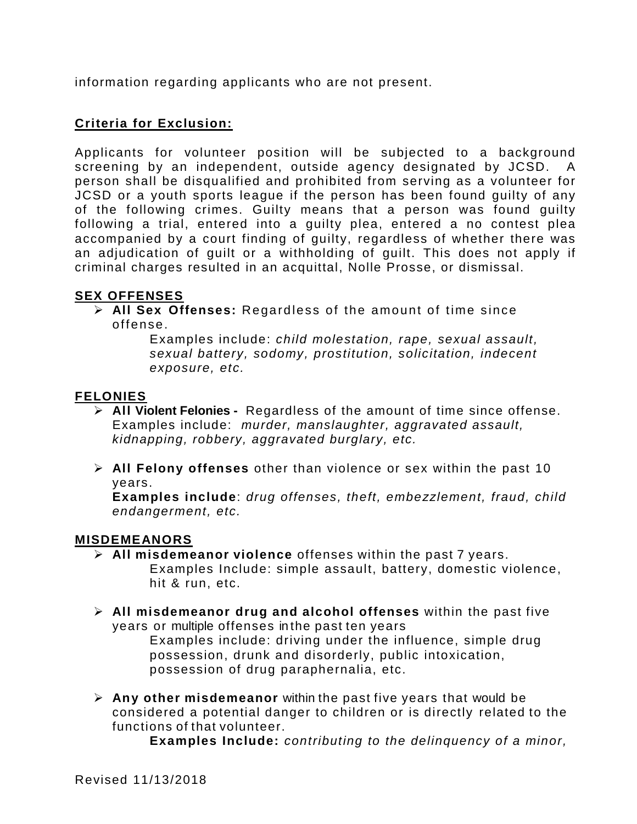information regarding applicants who are not present.

### **Criteria for Exclusion:**

Applicants for volunteer position will be subjected to a background screening by an independent, outside agency designated by JCSD. A person shall be disqualified and prohibited from serving as a volunteer for JCSD or a youth sports league if the person has been found guilty of any of the following crimes. Guilty means that a person was found guilty following a trial, entered into a guilty plea, entered a no contest plea accompanied by a court finding of guilty, regardless of whether there was an adjudication of guilt or a withholding of guilt. This does not apply if criminal charges resulted in an acquittal, Nolle Prosse, or dismissal.

#### **SEX OFFENSES**

 **All Sex Offenses:** Regardless of the amount of time since offense.

> Examples include: *child molestation, rape, sexual assault, sexual battery, sodomy, prostitution, solicitation, indecent exposure, etc.*

#### **FELONIES**

- **All Violent Felonies -** Regardless of the amount of time since offense. Examples include: *murder, manslaughter, aggravated assault, kidnapping, robbery, aggravated burglary, etc.*
- **All Felony offenses** other than violence or sex within the past 10 years.

**Examples include**: *drug offenses, theft, embezzlement, fraud, child endangerment, etc.*

#### **MISDEMEANORS**

- **All misdemeanor violence** offenses within the past 7 years. Examples Include: simple assault, battery, domestic violence, hit & run, etc.
- **All misdemeanor drug and alcohol offenses** within the past five years or multiple offenses in the past ten years Examples include: driving under the influence, simple drug possession, drunk and disorderly, public intoxication, possession of drug paraphernalia, etc.
- **Any other misdemeanor** within the past five years that would be considered a potential danger to children or is directly related to the functions of that volunteer.

**Examples Include:** *contributing to the delinquency of a minor,*